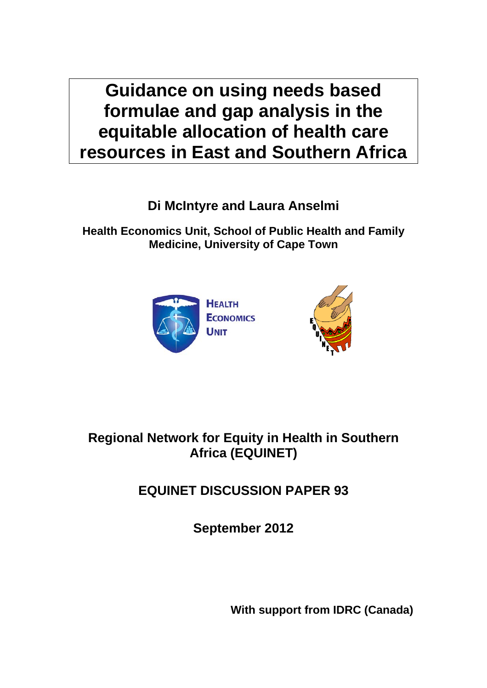**Guidance on using needs based formulae and gap analysis in the equitable allocation of health care resources in East and Southern Africa** 

**Di McIntyre and Laura Anselmi** 

**Health Economics Unit, School of Public Health and Family Medicine, University of Cape Town** 





# **Regional Network for Equity in Health in Southern Africa (EQUINET)**

# **EQUINET DISCUSSION PAPER 93**

**September 2012** 

**With support from IDRC (Canada)**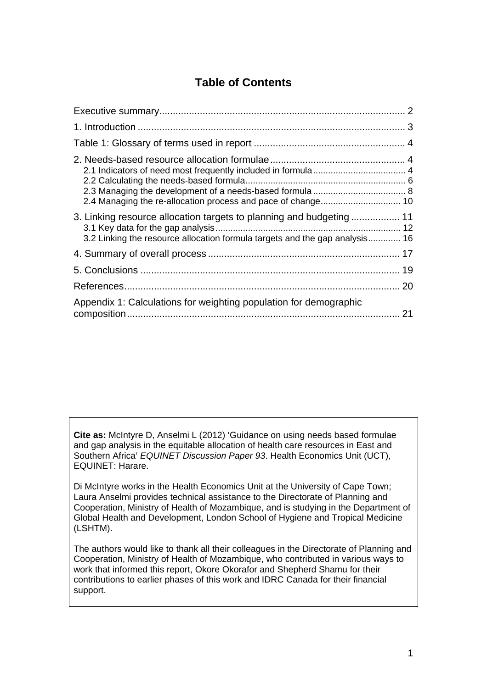# **Table of Contents**

| 3. Linking resource allocation targets to planning and budgeting  11<br>3.2 Linking the resource allocation formula targets and the gap analysis 16 |  |
|-----------------------------------------------------------------------------------------------------------------------------------------------------|--|
|                                                                                                                                                     |  |
|                                                                                                                                                     |  |
|                                                                                                                                                     |  |
| Appendix 1: Calculations for weighting population for demographic                                                                                   |  |

**Cite as:** McIntyre D, Anselmi L (2012) 'Guidance on using needs based formulae and gap analysis in the equitable allocation of health care resources in East and Southern Africa' *EQUINET Discussion Paper 93*. Health Economics Unit (UCT), EQUINET: Harare.

Di McIntyre works in the Health Economics Unit at the University of Cape Town; Laura Anselmi provides technical assistance to the Directorate of Planning and Cooperation, Ministry of Health of Mozambique, and is studying in the Department of Global Health and Development, London School of Hygiene and Tropical Medicine (LSHTM).

The authors would like to thank all their colleagues in the Directorate of Planning and Cooperation, Ministry of Health of Mozambique, who contributed in various ways to work that informed this report, Okore Okorafor and Shepherd Shamu for their contributions to earlier phases of this work and IDRC Canada for their financial support.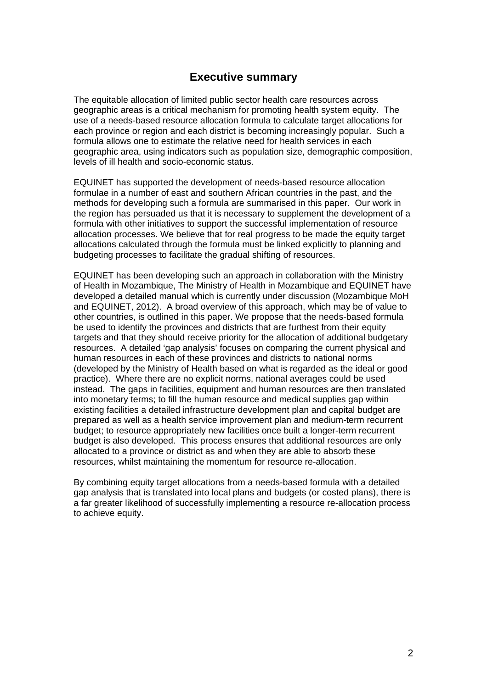### **Executive summary**

The equitable allocation of limited public sector health care resources across geographic areas is a critical mechanism for promoting health system equity. The use of a needs-based resource allocation formula to calculate target allocations for each province or region and each district is becoming increasingly popular. Such a formula allows one to estimate the relative need for health services in each geographic area, using indicators such as population size, demographic composition, levels of ill health and socio-economic status.

EQUINET has supported the development of needs-based resource allocation formulae in a number of east and southern African countries in the past, and the methods for developing such a formula are summarised in this paper. Our work in the region has persuaded us that it is necessary to supplement the development of a formula with other initiatives to support the successful implementation of resource allocation processes. We believe that for real progress to be made the equity target allocations calculated through the formula must be linked explicitly to planning and budgeting processes to facilitate the gradual shifting of resources.

EQUINET has been developing such an approach in collaboration with the Ministry of Health in Mozambique, The Ministry of Health in Mozambique and EQUINET have developed a detailed manual which is currently under discussion (Mozambique MoH and EQUINET, 2012). A broad overview of this approach, which may be of value to other countries, is outlined in this paper. We propose that the needs-based formula be used to identify the provinces and districts that are furthest from their equity targets and that they should receive priority for the allocation of additional budgetary resources. A detailed 'gap analysis' focuses on comparing the current physical and human resources in each of these provinces and districts to national norms (developed by the Ministry of Health based on what is regarded as the ideal or good practice). Where there are no explicit norms, national averages could be used instead. The gaps in facilities, equipment and human resources are then translated into monetary terms; to fill the human resource and medical supplies gap within existing facilities a detailed infrastructure development plan and capital budget are prepared as well as a health service improvement plan and medium-term recurrent budget; to resource appropriately new facilities once built a longer-term recurrent budget is also developed. This process ensures that additional resources are only allocated to a province or district as and when they are able to absorb these resources, whilst maintaining the momentum for resource re-allocation.

By combining equity target allocations from a needs-based formula with a detailed gap analysis that is translated into local plans and budgets (or costed plans), there is a far greater likelihood of successfully implementing a resource re-allocation process to achieve equity.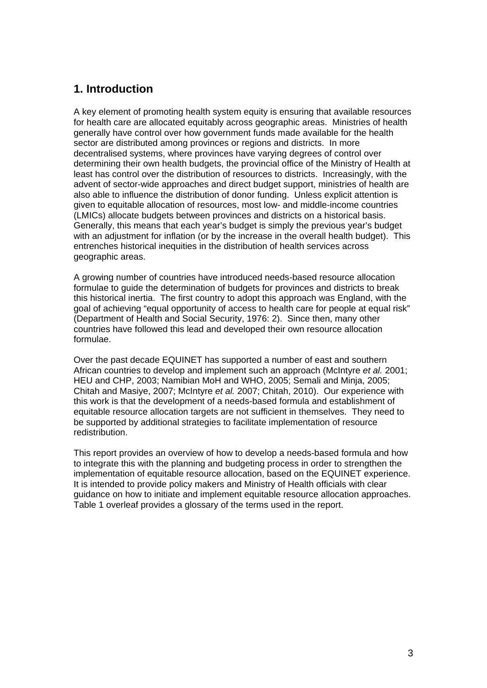# **1. Introduction**

A key element of promoting health system equity is ensuring that available resources for health care are allocated equitably across geographic areas. Ministries of health generally have control over how government funds made available for the health sector are distributed among provinces or regions and districts. In more decentralised systems, where provinces have varying degrees of control over determining their own health budgets, the provincial office of the Ministry of Health at least has control over the distribution of resources to districts. Increasingly, with the advent of sector-wide approaches and direct budget support, ministries of health are also able to influence the distribution of donor funding. Unless explicit attention is given to equitable allocation of resources, most low- and middle-income countries (LMICs) allocate budgets between provinces and districts on a historical basis. Generally, this means that each year's budget is simply the previous year's budget with an adjustment for inflation (or by the increase in the overall health budget). This entrenches historical inequities in the distribution of health services across geographic areas.

A growing number of countries have introduced needs-based resource allocation formulae to guide the determination of budgets for provinces and districts to break this historical inertia. The first country to adopt this approach was England, with the goal of achieving "equal opportunity of access to health care for people at equal risk" (Department of Health and Social Security, 1976: 2). Since then, many other countries have followed this lead and developed their own resource allocation formulae.

Over the past decade EQUINET has supported a number of east and southern African countries to develop and implement such an approach (McIntyre *et al.* 2001; HEU and CHP, 2003; Namibian MoH and WHO, 2005; Semali and Minja, 2005; Chitah and Masiye, 2007; McIntyre *et al.* 2007; Chitah, 2010). Our experience with this work is that the development of a needs-based formula and establishment of equitable resource allocation targets are not sufficient in themselves. They need to be supported by additional strategies to facilitate implementation of resource redistribution.

This report provides an overview of how to develop a needs-based formula and how to integrate this with the planning and budgeting process in order to strengthen the implementation of equitable resource allocation, based on the EQUINET experience. It is intended to provide policy makers and Ministry of Health officials with clear guidance on how to initiate and implement equitable resource allocation approaches. Table 1 overleaf provides a glossary of the terms used in the report.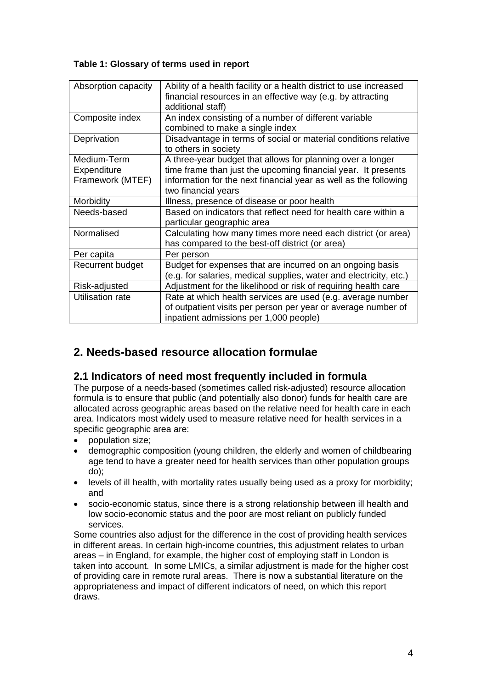### **Table 1: Glossary of terms used in report**

| Absorption capacity                            | Ability of a health facility or a health district to use increased<br>financial resources in an effective way (e.g. by attracting<br>additional staff)                                                                 |
|------------------------------------------------|------------------------------------------------------------------------------------------------------------------------------------------------------------------------------------------------------------------------|
| Composite index                                | An index consisting of a number of different variable<br>combined to make a single index                                                                                                                               |
| Deprivation                                    | Disadvantage in terms of social or material conditions relative<br>to others in society                                                                                                                                |
| Medium-Term<br>Expenditure<br>Framework (MTEF) | A three-year budget that allows for planning over a longer<br>time frame than just the upcoming financial year. It presents<br>information for the next financial year as well as the following<br>two financial years |
| Morbidity                                      | Illness, presence of disease or poor health                                                                                                                                                                            |
| Needs-based                                    | Based on indicators that reflect need for health care within a<br>particular geographic area                                                                                                                           |
| Normalised                                     | Calculating how many times more need each district (or area)<br>has compared to the best-off district (or area)                                                                                                        |
| Per capita                                     | Per person                                                                                                                                                                                                             |
| Recurrent budget                               | Budget for expenses that are incurred on an ongoing basis<br>(e.g. for salaries, medical supplies, water and electricity, etc.)                                                                                        |
| Risk-adjusted                                  | Adjustment for the likelihood or risk of requiring health care                                                                                                                                                         |
| Utilisation rate                               | Rate at which health services are used (e.g. average number<br>of outpatient visits per person per year or average number of<br>inpatient admissions per 1,000 people)                                                 |

# **2. Needs-based resource allocation formulae**

# **2.1 Indicators of need most frequently included in formula**

The purpose of a needs-based (sometimes called risk-adjusted) resource allocation formula is to ensure that public (and potentially also donor) funds for health care are allocated across geographic areas based on the relative need for health care in each area. Indicators most widely used to measure relative need for health services in a specific geographic area are:

- population size;
- demographic composition (young children, the elderly and women of childbearing age tend to have a greater need for health services than other population groups do);
- levels of ill health, with mortality rates usually being used as a proxy for morbidity; and
- socio-economic status, since there is a strong relationship between ill health and low socio-economic status and the poor are most reliant on publicly funded services.

Some countries also adjust for the difference in the cost of providing health services in different areas. In certain high-income countries, this adjustment relates to urban areas – in England, for example, the higher cost of employing staff in London is taken into account. In some LMICs, a similar adjustment is made for the higher cost of providing care in remote rural areas. There is now a substantial literature on the appropriateness and impact of different indicators of need, on which this report draws.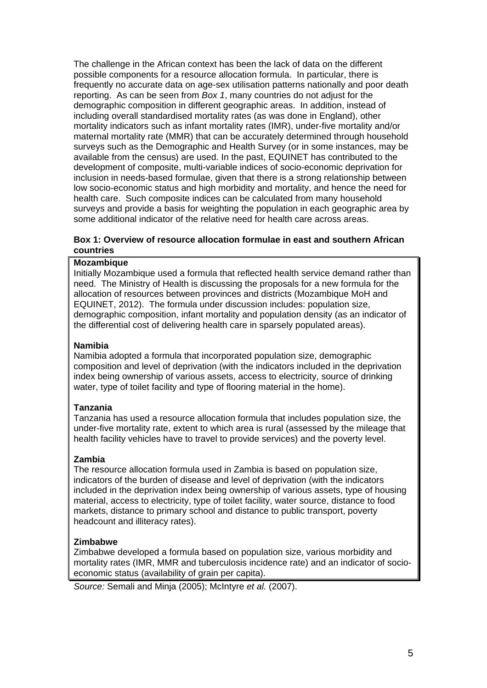The challenge in the African context has been the lack of data on the different possible components for a resource allocation formula. In particular, there is frequently no accurate data on age-sex utilisation patterns nationally and poor death reporting. As can be seen from *Box 1*, many countries do not adjust for the demographic composition in different geographic areas. In addition, instead of including overall standardised mortality rates (as was done in England), other mortality indicators such as infant mortality rates (IMR), under-five mortality and/or maternal mortality rate (MMR) that can be accurately determined through household surveys such as the Demographic and Health Survey (or in some instances, may be available from the census) are used. In the past, EQUINET has contributed to the development of composite, multi-variable indices of socio-economic deprivation for inclusion in needs-based formulae, given that there is a strong relationship between low socio-economic status and high morbidity and mortality, and hence the need for health care. Such composite indices can be calculated from many household surveys and provide a basis for weighting the population in each geographic area by some additional indicator of the relative need for health care across areas.

#### **Box 1: Overview of resource allocation formulae in east and southern African countries**

### **Mozambique**

Initially Mozambique used a formula that reflected health service demand rather than need. The Ministry of Health is discussing the proposals for a new formula for the allocation of resources between provinces and districts (Mozambique MoH and EQUINET, 2012). The formula under discussion includes: population size, demographic composition, infant mortality and population density (as an indicator of the differential cost of delivering health care in sparsely populated areas).

### **Namibia**

Namibia adopted a formula that incorporated population size, demographic composition and level of deprivation (with the indicators included in the deprivation index being ownership of various assets, access to electricity, source of drinking water, type of toilet facility and type of flooring material in the home).

### **Tanzania**

Tanzania has used a resource allocation formula that includes population size, the under-five mortality rate, extent to which area is rural (assessed by the mileage that health facility vehicles have to travel to provide services) and the poverty level.

### **Zambia**

The resource allocation formula used in Zambia is based on population size, indicators of the burden of disease and level of deprivation (with the indicators included in the deprivation index being ownership of various assets, type of housing material, access to electricity, type of toilet facility, water source, distance to food markets, distance to primary school and distance to public transport, poverty headcount and illiteracy rates).

### **Zimbabwe**

Zimbabwe developed a formula based on population size, various morbidity and mortality rates (IMR, MMR and tuberculosis incidence rate) and an indicator of socioeconomic status (availability of grain per capita).

*Source:* Semali and Minja (2005); McIntyre *et al.* (2007).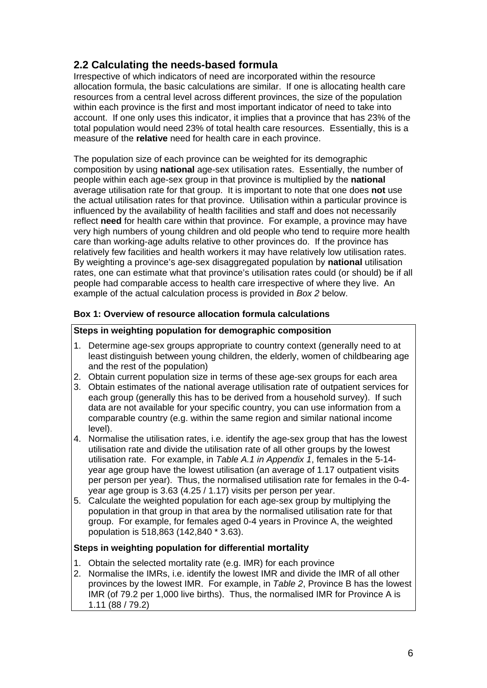# **2.2 Calculating the needs-based formula**

Irrespective of which indicators of need are incorporated within the resource allocation formula, the basic calculations are similar. If one is allocating health care resources from a central level across different provinces, the size of the population within each province is the first and most important indicator of need to take into account. If one only uses this indicator, it implies that a province that has 23% of the total population would need 23% of total health care resources. Essentially, this is a measure of the **relative** need for health care in each province.

The population size of each province can be weighted for its demographic composition by using **national** age-sex utilisation rates. Essentially, the number of people within each age-sex group in that province is multiplied by the **national** average utilisation rate for that group. It is important to note that one does **not** use the actual utilisation rates for that province. Utilisation within a particular province is influenced by the availability of health facilities and staff and does not necessarily reflect **need** for health care within that province. For example, a province may have very high numbers of young children and old people who tend to require more health care than working-age adults relative to other provinces do. If the province has relatively few facilities and health workers it may have relatively low utilisation rates. By weighting a province's age-sex disaggregated population by **national** utilisation rates, one can estimate what that province's utilisation rates could (or should) be if all people had comparable access to health care irrespective of where they live. An example of the actual calculation process is provided in *Box 2* below.

### **Box 1: Overview of resource allocation formula calculations**

### **Steps in weighting population for demographic composition**

- 1. Determine age-sex groups appropriate to country context (generally need to at least distinguish between young children, the elderly, women of childbearing age and the rest of the population)
- 2. Obtain current population size in terms of these age-sex groups for each area
- 3. Obtain estimates of the national average utilisation rate of outpatient services for each group (generally this has to be derived from a household survey). If such data are not available for your specific country, you can use information from a comparable country (e.g. within the same region and similar national income level).
- 4. Normalise the utilisation rates, i.e. identify the age-sex group that has the lowest utilisation rate and divide the utilisation rate of all other groups by the lowest utilisation rate. For example, in *Table A.1 in Appendix 1*, females in the 5-14 year age group have the lowest utilisation (an average of 1.17 outpatient visits per person per year). Thus, the normalised utilisation rate for females in the 0-4 year age group is 3.63 (4.25 / 1.17) visits per person per year.
- 5. Calculate the weighted population for each age-sex group by multiplying the population in that group in that area by the normalised utilisation rate for that group. For example, for females aged 0-4 years in Province A, the weighted population is 518,863 (142,840 \* 3.63).

### **Steps in weighting population for differential mortality**

- 1. Obtain the selected mortality rate (e.g. IMR) for each province
- 2. Normalise the IMRs, i.e. identify the lowest IMR and divide the IMR of all other provinces by the lowest IMR. For example, in *Table 2*, Province B has the lowest IMR (of 79.2 per 1,000 live births). Thus, the normalised IMR for Province A is 1.11 (88 / 79.2)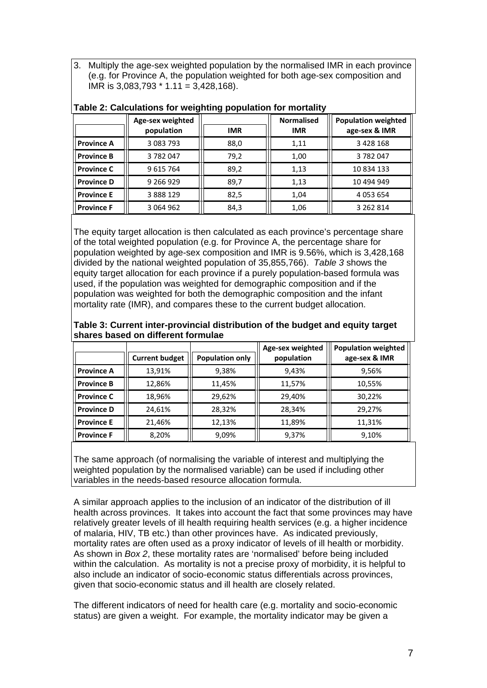3. Multiply the age-sex weighted population by the normalised IMR in each province (e.g. for Province A, the population weighted for both age-sex composition and  $IMR$  is 3,083,793  $*$  1.11 = 3,428,168).

|                   | Age-sex weighted |            | <b>Normalised</b> | <b>Population weighted</b> |
|-------------------|------------------|------------|-------------------|----------------------------|
|                   | population       | <b>IMR</b> | <b>IMR</b>        | age-sex & IMR              |
| <b>Province A</b> | 3 083 793        | 88,0       | 1,11              | 3 4 2 8 1 6 8              |
| ll Province B     | 3782047          | 79,2       | 1,00              | 3782047                    |
| <b>Province C</b> | 9 615 764        | 89,2       | 1,13              | 10 834 133                 |
| ll Province D     | 9 266 9 29       | 89,7       | 1,13              | 10 494 949                 |
| <b>Province E</b> | 3 888 129        | 82,5       | 1,04              | 4 0 5 3 6 5 4              |
| <b>Province F</b> | 3 0 64 9 62      | 84,3       | 1,06              | 3 262 814                  |

#### **Table 2: Calculations for weighting population for mortality**

The equity target allocation is then calculated as each province's percentage share of the total weighted population (e.g. for Province A, the percentage share for population weighted by age-sex composition and IMR is 9.56%, which is 3,428,168 divided by the national weighted population of 35,855,766). *Table 3* shows the equity target allocation for each province if a purely population-based formula was used, if the population was weighted for demographic composition and if the population was weighted for both the demographic composition and the infant mortality rate (IMR), and compares these to the current budget allocation.

|                   |                       |                        | Age-sex weighted | <b>Population weighted</b> |
|-------------------|-----------------------|------------------------|------------------|----------------------------|
|                   | <b>Current budget</b> | <b>Population only</b> | population       | age-sex & IMR              |
| ll Province A     | 13,91%                | 9,38%                  | 9.43%            | 9,56%                      |
| ll Province B     | 12,86%                | 11,45%                 | 11,57%           | 10,55%                     |
| Il Province C     | 18,96%                | 29,62%                 | 29,40%           | 30,22%                     |
| ll Province D     | 24,61%                | 28,32%                 | 28,34%           | 29.27%                     |
| <b>Province E</b> | 21,46%                | 12,13%                 | 11,89%           | 11,31%                     |
| ll Province F     | 8,20%                 | 9,09%                  | 9,37%            | 9,10%                      |

**Table 3: Current inter-provincial distribution of the budget and equity target shares based on different formulae** 

The same approach (of normalising the variable of interest and multiplying the weighted population by the normalised variable) can be used if including other variables in the needs-based resource allocation formula.

A similar approach applies to the inclusion of an indicator of the distribution of ill health across provinces. It takes into account the fact that some provinces may have relatively greater levels of ill health requiring health services (e.g. a higher incidence of malaria, HIV, TB etc.) than other provinces have. As indicated previously, mortality rates are often used as a proxy indicator of levels of ill health or morbidity. As shown in *Box 2*, these mortality rates are 'normalised' before being included within the calculation. As mortality is not a precise proxy of morbidity, it is helpful to also include an indicator of socio-economic status differentials across provinces, given that socio-economic status and ill health are closely related.

The different indicators of need for health care (e.g. mortality and socio-economic status) are given a weight. For example, the mortality indicator may be given a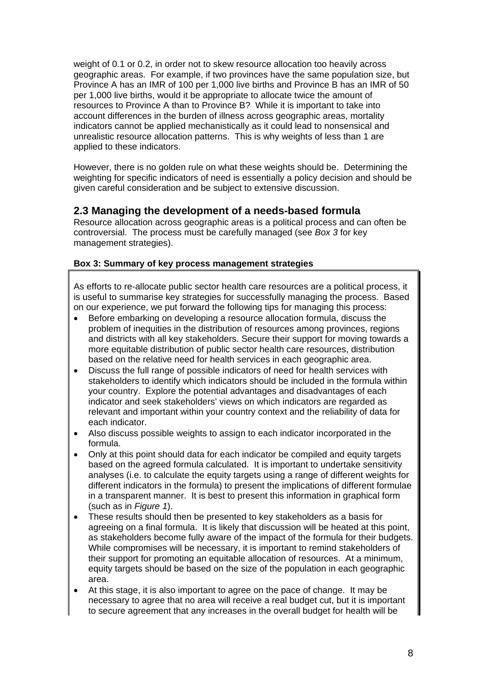weight of 0.1 or 0.2, in order not to skew resource allocation too heavily across geographic areas. For example, if two provinces have the same population size, but Province A has an IMR of 100 per 1,000 live births and Province B has an IMR of 50 per 1,000 live births, would it be appropriate to allocate twice the amount of resources to Province A than to Province B? While it is important to take into account differences in the burden of illness across geographic areas, mortality indicators cannot be applied mechanistically as it could lead to nonsensical and unrealistic resource allocation patterns. This is why weights of less than 1 are applied to these indicators.

However, there is no golden rule on what these weights should be. Determining the weighting for specific indicators of need is essentially a policy decision and should be given careful consideration and be subject to extensive discussion.

## **2.3 Managing the development of a needs-based formula**

Resource allocation across geographic areas is a political process and can often be controversial. The process must be carefully managed (see *Box 3* for key management strategies).

### **Box 3: Summary of key process management strategies**

As efforts to re-allocate public sector health care resources are a political process, it is useful to summarise key strategies for successfully managing the process. Based on our experience, we put forward the following tips for managing this process:

- Before embarking on developing a resource allocation formula, discuss the problem of inequities in the distribution of resources among provinces, regions and districts with all key stakeholders. Secure their support for moving towards a more equitable distribution of public sector health care resources, distribution based on the relative need for health services in each geographic area.
- Discuss the full range of possible indicators of need for health services with stakeholders to identify which indicators should be included in the formula within your country. Explore the potential advantages and disadvantages of each indicator and seek stakeholders' views on which indicators are regarded as relevant and important within your country context and the reliability of data for each indicator.
- Also discuss possible weights to assign to each indicator incorporated in the formula.
- Only at this point should data for each indicator be compiled and equity targets based on the agreed formula calculated. It is important to undertake sensitivity analyses (i.e. to calculate the equity targets using a range of different weights for different indicators in the formula) to present the implications of different formulae in a transparent manner. It is best to present this information in graphical form (such as in *Figure 1*).
- These results should then be presented to key stakeholders as a basis for agreeing on a final formula. It is likely that discussion will be heated at this point, as stakeholders become fully aware of the impact of the formula for their budgets. While compromises will be necessary, it is important to remind stakeholders of their support for promoting an equitable allocation of resources. At a minimum, equity targets should be based on the size of the population in each geographic area.
- At this stage, it is also important to agree on the pace of change. It may be necessary to agree that no area will receive a real budget cut, but it is important to secure agreement that any increases in the overall budget for health will be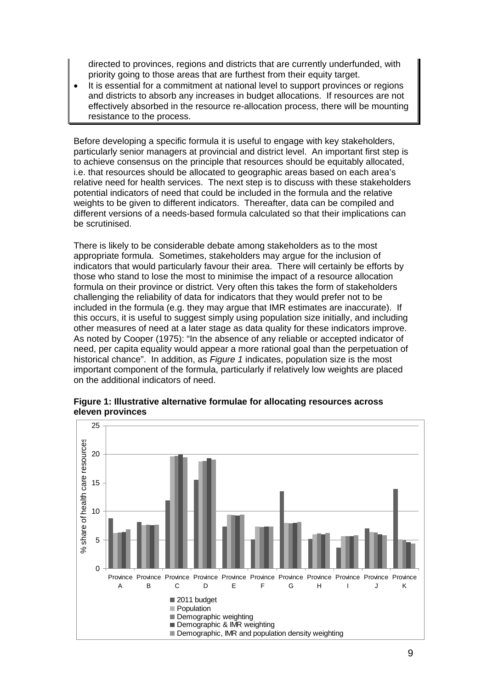directed to provinces, regions and districts that are currently underfunded, with priority going to those areas that are furthest from their equity target.

 It is essential for a commitment at national level to support provinces or regions and districts to absorb any increases in budget allocations. If resources are not effectively absorbed in the resource re-allocation process, there will be mounting resistance to the process.

Before developing a specific formula it is useful to engage with key stakeholders, particularly senior managers at provincial and district level. An important first step is to achieve consensus on the principle that resources should be equitably allocated, i.e. that resources should be allocated to geographic areas based on each area's relative need for health services. The next step is to discuss with these stakeholders potential indicators of need that could be included in the formula and the relative weights to be given to different indicators. Thereafter, data can be compiled and different versions of a needs-based formula calculated so that their implications can be scrutinised.

There is likely to be considerable debate among stakeholders as to the most appropriate formula. Sometimes, stakeholders may argue for the inclusion of indicators that would particularly favour their area. There will certainly be efforts by those who stand to lose the most to minimise the impact of a resource allocation formula on their province or district. Very often this takes the form of stakeholders challenging the reliability of data for indicators that they would prefer not to be included in the formula (e.g. they may argue that IMR estimates are inaccurate). If this occurs, it is useful to suggest simply using population size initially, and including other measures of need at a later stage as data quality for these indicators improve. As noted by Cooper (1975): "In the absence of any reliable or accepted indicator of need, per capita equality would appear a more rational goal than the perpetuation of historical chance". In addition, as *Figure 1* indicates, population size is the most important component of the formula, particularly if relatively low weights are placed on the additional indicators of need.



**Figure 1: Illustrative alternative formulae for allocating resources across eleven provinces**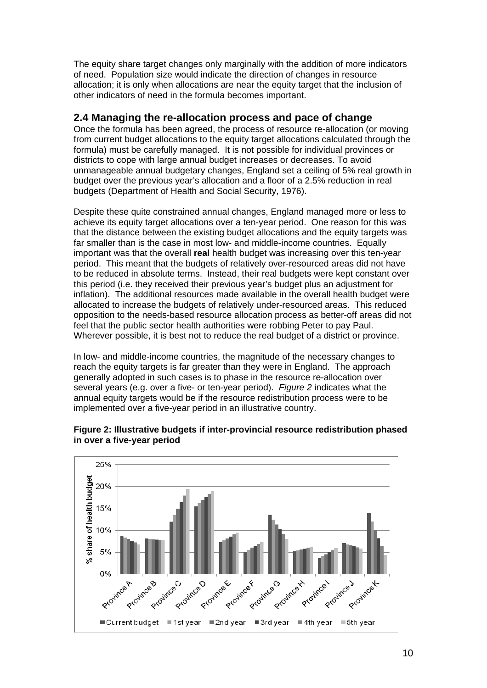The equity share target changes only marginally with the addition of more indicators of need. Population size would indicate the direction of changes in resource allocation; it is only when allocations are near the equity target that the inclusion of other indicators of need in the formula becomes important.

### **2.4 Managing the re-allocation process and pace of change**

Once the formula has been agreed, the process of resource re-allocation (or moving from current budget allocations to the equity target allocations calculated through the formula) must be carefully managed. It is not possible for individual provinces or districts to cope with large annual budget increases or decreases. To avoid unmanageable annual budgetary changes, England set a ceiling of 5% real growth in budget over the previous year's allocation and a floor of a 2.5% reduction in real budgets (Department of Health and Social Security, 1976).

Despite these quite constrained annual changes, England managed more or less to achieve its equity target allocations over a ten-year period. One reason for this was that the distance between the existing budget allocations and the equity targets was far smaller than is the case in most low- and middle-income countries. Equally important was that the overall **real** health budget was increasing over this ten-year period. This meant that the budgets of relatively over-resourced areas did not have to be reduced in absolute terms. Instead, their real budgets were kept constant over this period (i.e. they received their previous year's budget plus an adjustment for inflation). The additional resources made available in the overall health budget were allocated to increase the budgets of relatively under-resourced areas. This reduced opposition to the needs-based resource allocation process as better-off areas did not feel that the public sector health authorities were robbing Peter to pay Paul. Wherever possible, it is best not to reduce the real budget of a district or province.

In low- and middle-income countries, the magnitude of the necessary changes to reach the equity targets is far greater than they were in England. The approach generally adopted in such cases is to phase in the resource re-allocation over several years (e.g. over a five- or ten-year period). *Figure 2* indicates what the annual equity targets would be if the resource redistribution process were to be implemented over a five-year period in an illustrative country.



#### **Figure 2: Illustrative budgets if inter-provincial resource redistribution phased in over a five-year period**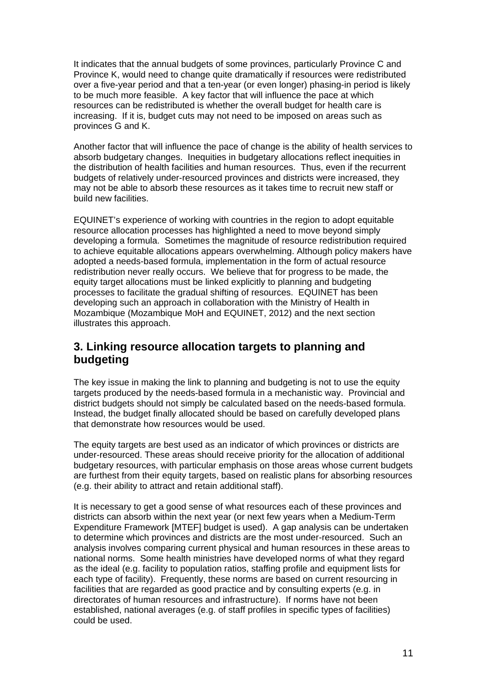It indicates that the annual budgets of some provinces, particularly Province C and Province K, would need to change quite dramatically if resources were redistributed over a five-year period and that a ten-year (or even longer) phasing-in period is likely to be much more feasible. A key factor that will influence the pace at which resources can be redistributed is whether the overall budget for health care is increasing. If it is, budget cuts may not need to be imposed on areas such as provinces G and K.

Another factor that will influence the pace of change is the ability of health services to absorb budgetary changes. Inequities in budgetary allocations reflect inequities in the distribution of health facilities and human resources. Thus, even if the recurrent budgets of relatively under-resourced provinces and districts were increased, they may not be able to absorb these resources as it takes time to recruit new staff or build new facilities.

EQUINET's experience of working with countries in the region to adopt equitable resource allocation processes has highlighted a need to move beyond simply developing a formula. Sometimes the magnitude of resource redistribution required to achieve equitable allocations appears overwhelming. Although policy makers have adopted a needs-based formula, implementation in the form of actual resource redistribution never really occurs. We believe that for progress to be made, the equity target allocations must be linked explicitly to planning and budgeting processes to facilitate the gradual shifting of resources. EQUINET has been developing such an approach in collaboration with the Ministry of Health in Mozambique (Mozambique MoH and EQUINET, 2012) and the next section illustrates this approach.

# **3. Linking resource allocation targets to planning and budgeting**

The key issue in making the link to planning and budgeting is not to use the equity targets produced by the needs-based formula in a mechanistic way. Provincial and district budgets should not simply be calculated based on the needs-based formula. Instead, the budget finally allocated should be based on carefully developed plans that demonstrate how resources would be used.

The equity targets are best used as an indicator of which provinces or districts are under-resourced. These areas should receive priority for the allocation of additional budgetary resources, with particular emphasis on those areas whose current budgets are furthest from their equity targets, based on realistic plans for absorbing resources (e.g. their ability to attract and retain additional staff).

It is necessary to get a good sense of what resources each of these provinces and districts can absorb within the next year (or next few years when a Medium-Term Expenditure Framework [MTEF] budget is used). A gap analysis can be undertaken to determine which provinces and districts are the most under-resourced. Such an analysis involves comparing current physical and human resources in these areas to national norms. Some health ministries have developed norms of what they regard as the ideal (e.g. facility to population ratios, staffing profile and equipment lists for each type of facility). Frequently, these norms are based on current resourcing in facilities that are regarded as good practice and by consulting experts (e.g. in directorates of human resources and infrastructure). If norms have not been established, national averages (e.g. of staff profiles in specific types of facilities) could be used.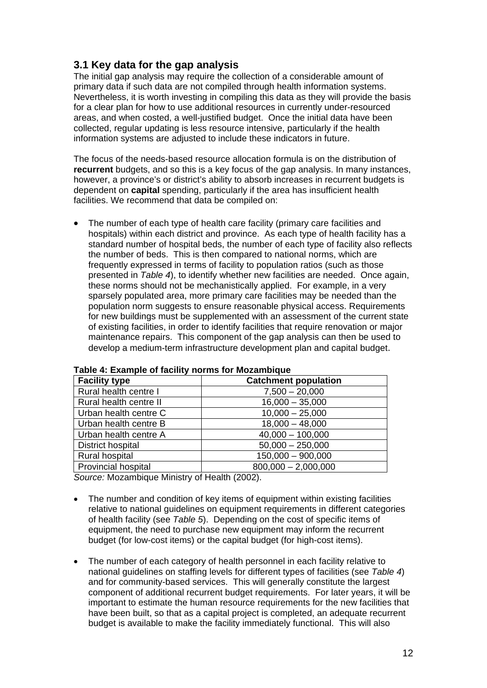# **3.1 Key data for the gap analysis**

The initial gap analysis may require the collection of a considerable amount of primary data if such data are not compiled through health information systems. Nevertheless, it is worth investing in compiling this data as they will provide the basis for a clear plan for how to use additional resources in currently under-resourced areas, and when costed, a well-justified budget. Once the initial data have been collected, regular updating is less resource intensive, particularly if the health information systems are adjusted to include these indicators in future.

The focus of the needs-based resource allocation formula is on the distribution of **recurrent** budgets, and so this is a key focus of the gap analysis. In many instances, however, a province's or district's ability to absorb increases in recurrent budgets is dependent on **capital** spending, particularly if the area has insufficient health facilities. We recommend that data be compiled on:

• The number of each type of health care facility (primary care facilities and hospitals) within each district and province. As each type of health facility has a standard number of hospital beds, the number of each type of facility also reflects the number of beds. This is then compared to national norms, which are frequently expressed in terms of facility to population ratios (such as those presented in *Table 4*), to identify whether new facilities are needed. Once again, these norms should not be mechanistically applied. For example, in a very sparsely populated area, more primary care facilities may be needed than the population norm suggests to ensure reasonable physical access. Requirements for new buildings must be supplemented with an assessment of the current state of existing facilities, in order to identify facilities that require renovation or major maintenance repairs. This component of the gap analysis can then be used to develop a medium-term infrastructure development plan and capital budget.

| <b>Facility type</b>       | <b>Catchment population</b> |
|----------------------------|-----------------------------|
| Rural health centre I      | $7,500 - 20,000$            |
| Rural health centre II     | $16,000 - 35,000$           |
| Urban health centre C      | $10,000 - 25,000$           |
| Urban health centre B      | $18,000 - 48,000$           |
| Urban health centre A      | $40,000 - 100,000$          |
| District hospital          | $50,000 - 250,000$          |
| Rural hospital             | $150,000 - 900,000$         |
| <b>Provincial hospital</b> | $800,000 - 2,000,000$       |

#### **Table 4: Example of facility norms for Mozambique**

*Source:* Mozambique Ministry of Health (2002).

- The number and condition of key items of equipment within existing facilities relative to national guidelines on equipment requirements in different categories of health facility (see *Table 5*). Depending on the cost of specific items of equipment, the need to purchase new equipment may inform the recurrent budget (for low-cost items) or the capital budget (for high-cost items).
- The number of each category of health personnel in each facility relative to national guidelines on staffing levels for different types of facilities (see *Table 4*) and for community-based services. This will generally constitute the largest component of additional recurrent budget requirements. For later years, it will be important to estimate the human resource requirements for the new facilities that have been built, so that as a capital project is completed, an adequate recurrent budget is available to make the facility immediately functional. This will also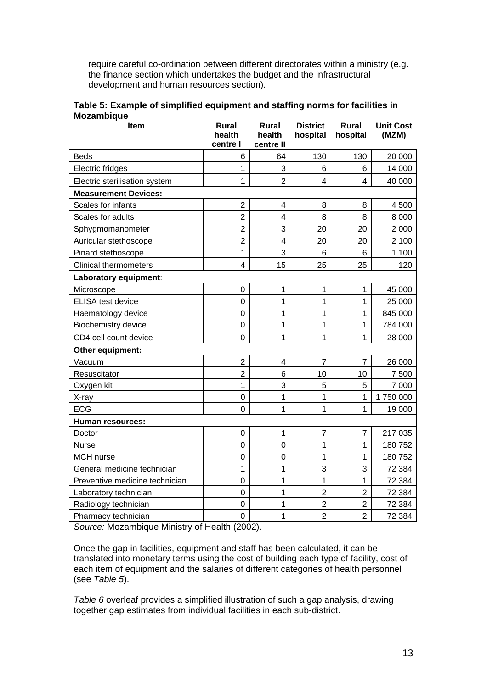require careful co-ordination between different directorates within a ministry (e.g. the finance section which undertakes the budget and the infrastructural development and human resources section).

| Table 5: Example of simplified equipment and staffing norms for facilities in |  |
|-------------------------------------------------------------------------------|--|
| <b>Mozambique</b>                                                             |  |

| Item                           | <b>Rural</b><br>health<br>centre l | Rural<br>health<br>centre II | <b>District</b><br>hospital | <b>Rural</b><br>hospital | <b>Unit Cost</b><br>(MZM) |
|--------------------------------|------------------------------------|------------------------------|-----------------------------|--------------------------|---------------------------|
| <b>Beds</b>                    | 6                                  | 64                           | 130                         | 130                      | 20 000                    |
| Electric fridges               | $\mathbf{1}$                       | 3                            | 6                           | 6                        | 14 000                    |
| Electric sterilisation system  | 1                                  | $\overline{2}$               | 4                           | 4                        | 40 000                    |
| <b>Measurement Devices:</b>    |                                    |                              |                             |                          |                           |
| Scales for infants             | $\overline{2}$                     | 4                            | 8                           | 8                        | 4 500                     |
| Scales for adults              | $\overline{2}$                     | $\overline{4}$               | 8                           | 8                        | 8 0 0 0                   |
| Sphygmomanometer               | $\overline{2}$                     | 3                            | 20                          | 20                       | 2 0 0 0                   |
| Auricular stethoscope          | $\overline{2}$                     | $\overline{\mathbf{4}}$      | 20                          | 20                       | 2 100                     |
| Pinard stethoscope             | 1                                  | 3                            | 6                           | 6                        | 1 100                     |
| <b>Clinical thermometers</b>   | 4                                  | 15                           | 25                          | 25                       | 120                       |
| Laboratory equipment:          |                                    |                              |                             |                          |                           |
| Microscope                     | 0                                  | 1                            | 1                           | 1                        | 45 000                    |
| <b>ELISA test device</b>       | 0                                  | 1                            | 1                           | 1                        | 25 000                    |
| Haematology device             | $\overline{0}$                     | 1                            | 1                           | $\mathbf{1}$             | 845 000                   |
| <b>Biochemistry device</b>     | 0                                  | 1                            | 1                           | 1                        | 784 000                   |
| CD4 cell count device          | 0                                  | 1                            | 1                           | 1                        | 28 000                    |
| Other equipment:               |                                    |                              |                             |                          |                           |
| Vacuum                         | $\overline{\mathbf{c}}$            | 4                            | $\overline{7}$              | $\overline{7}$           | 26 000                    |
| Resuscitator                   | $\overline{2}$                     | 6                            | 10                          | 10                       | 7 500                     |
| Oxygen kit                     | 1                                  | 3                            | 5                           | 5                        | 7 0 0 0                   |
| X-ray                          | 0                                  | 1                            | 1                           | 1                        | 1750000                   |
| <b>ECG</b>                     | $\overline{0}$                     | $\mathbf 1$                  | 1                           | 1                        | 19 000                    |
| Human resources:               |                                    |                              |                             |                          |                           |
| Doctor                         | 0                                  | $\mathbf 1$                  | $\overline{7}$              | 7                        | 217 035                   |
| <b>Nurse</b>                   | $\overline{0}$                     | $\overline{0}$               | 1                           | 1                        | 180752                    |
| MCH nurse                      | $\overline{0}$                     | $\overline{0}$               | 1                           | 1                        | 180752                    |
| General medicine technician    | 1                                  | 1                            | 3                           | 3                        | 72 384                    |
| Preventive medicine technician | 0                                  | 1                            | 1                           | 1                        | 72 384                    |
| Laboratory technician          | 0                                  | 1                            | $\overline{2}$              | $\overline{2}$           | 72 384                    |
| Radiology technician           | 0                                  | 1                            | $\overline{2}$              | $\overline{2}$           | 72 384                    |
| Pharmacy technician            | $\overline{0}$                     | 1                            | $\overline{2}$              | $\overline{2}$           | 72 384                    |

*Source:* Mozambique Ministry of Health (2002).

Once the gap in facilities, equipment and staff has been calculated, it can be translated into monetary terms using the cost of building each type of facility, cost of each item of equipment and the salaries of different categories of health personnel (see *Table 5*).

*Table 6* overleaf provides a simplified illustration of such a gap analysis, drawing together gap estimates from individual facilities in each sub-district.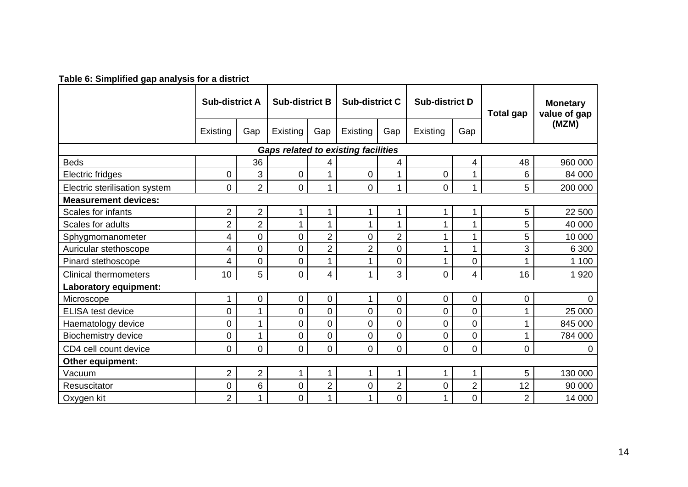### **Table 6: Simplified gap analysis for a district**

|                               | <b>Sub-district A</b><br><b>Sub-district B</b> |                |                  | <b>Sub-district C</b> |                                            | <b>Sub-district D</b> |                | <b>Total gap</b> | <b>Monetary</b><br>value of gap |                |
|-------------------------------|------------------------------------------------|----------------|------------------|-----------------------|--------------------------------------------|-----------------------|----------------|------------------|---------------------------------|----------------|
|                               | Existing                                       | Gap            | Existing         | Gap                   | Existing                                   | Gap                   | Existing       | Gap              |                                 | (MZM)          |
|                               |                                                |                |                  |                       | <b>Gaps related to existing facilities</b> |                       |                |                  |                                 |                |
| <b>Beds</b>                   |                                                | 36             |                  | 4                     |                                            | 4                     |                | 4                | 48                              | 960 000        |
| Electric fridges              | $\overline{0}$                                 | 3              | $\overline{0}$   |                       | $\overline{0}$                             | 1                     | $\overline{0}$ | 1                | 6                               | 84 000         |
| Electric sterilisation system | $\mathbf 0$                                    | $\overline{2}$ | $\mathbf 0$      | 1                     | $\overline{0}$                             | $\mathbf 1$           | $\mathbf 0$    | 1                | 5                               | 200 000        |
| <b>Measurement devices:</b>   |                                                |                |                  |                       |                                            |                       |                |                  |                                 |                |
| Scales for infants            | $\overline{2}$                                 | 2              |                  |                       | 1                                          | 1                     |                | 1                | 5                               | 22 500         |
| Scales for adults             | $\overline{2}$                                 | $\overline{2}$ |                  |                       | 1                                          | 1                     |                |                  | 5                               | 40 000         |
| Sphygmomanometer              | 4                                              | 0              | $\overline{0}$   | $\overline{2}$        | $\overline{0}$                             | $\overline{2}$        |                | 1                | 5                               | 10 000         |
| Auricular stethoscope         | 4                                              | 0              | $\mathbf 0$      | $\overline{2}$        | $\overline{2}$                             | $\overline{0}$        |                | 1                | 3                               | 6 300          |
| Pinard stethoscope            | 4                                              | 0              | $\mathbf 0$      |                       | 1                                          | $\overline{0}$        |                | $\mathbf 0$      |                                 | 1 100          |
| <b>Clinical thermometers</b>  | 10                                             | 5              | $\overline{0}$   | 4                     | 1                                          | 3                     | $\overline{0}$ | 4                | 16                              | 1920           |
| Laboratory equipment:         |                                                |                |                  |                       |                                            |                       |                |                  |                                 |                |
| Microscope                    | 1                                              | 0              | $\boldsymbol{0}$ | 0                     | 1                                          | $\mathbf 0$           | $\mathbf 0$    | $\mathbf 0$      | 0                               | $\overline{0}$ |
| <b>ELISA test device</b>      | $\overline{0}$                                 | 1              | $\overline{0}$   | $\overline{0}$        | $\overline{0}$                             | $\overline{0}$        | $\overline{0}$ | $\overline{0}$   |                                 | 25 000         |
| Haematology device            | $\overline{0}$                                 | 1              | $\overline{0}$   | 0                     | 0                                          | $\overline{0}$        | $\overline{0}$ | $\overline{0}$   |                                 | 845 000        |
| <b>Biochemistry device</b>    | $\overline{0}$                                 | 1              | $\mathbf 0$      | 0                     | $\mathbf 0$                                | $\overline{0}$        | $\mathbf 0$    | $\overline{0}$   |                                 | 784 000        |
| CD4 cell count device         | $\overline{0}$                                 | 0              | $\overline{0}$   | 0                     | $\overline{0}$                             | $\Omega$              | $\overline{0}$ | $\overline{0}$   | 0                               | $\Omega$       |
| Other equipment:              |                                                |                |                  |                       |                                            |                       |                |                  |                                 |                |
| Vacuum                        | $\overline{2}$                                 | $\overline{2}$ | 1                | 1                     | 1                                          | 1                     |                | 1                | 5                               | 130 000        |
| Resuscitator                  | 0                                              | 6              | $\overline{0}$   | $\overline{2}$        | $\overline{0}$                             | $\overline{2}$        | $\mathbf 0$    | $\overline{2}$   | 12                              | 90 000         |
| Oxygen kit                    | $\overline{2}$                                 | 1              | $\boldsymbol{0}$ |                       | 1                                          | $\mathbf 0$           |                | $\overline{0}$   | $\overline{2}$                  | 14 000         |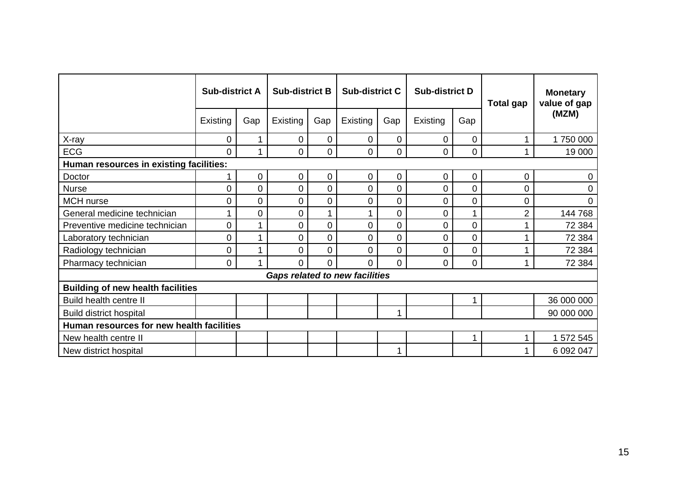|                                           | <b>Sub-district A</b> |             | <b>Sub-district B</b> |     | <b>Sub-district C</b>                 |                  | <b>Sub-district D</b> |     | <b>Total gap</b> | <b>Monetary</b><br>value of gap |
|-------------------------------------------|-----------------------|-------------|-----------------------|-----|---------------------------------------|------------------|-----------------------|-----|------------------|---------------------------------|
|                                           | Existing              | Gap         | Existing              | Gap | Existing                              | Gap              | Existing              | Gap |                  | (MZM)                           |
| X-ray                                     | 0                     | 1           | 0                     | 0   | 0                                     | $\overline{0}$   | 0                     | 0   |                  | 1750000                         |
| <b>ECG</b>                                | 0                     | 1           | 0                     | 0   | $\overline{0}$                        | $\overline{0}$   | 0                     | 0   |                  | 19 000                          |
| Human resources in existing facilities:   |                       |             |                       |     |                                       |                  |                       |     |                  |                                 |
| Doctor                                    |                       | 0           | 0                     | 0   | $\mathbf 0$                           | $\boldsymbol{0}$ | 0                     | 0   | 0                | 0                               |
| <b>Nurse</b>                              | $\Omega$              | $\mathbf 0$ | 0                     | 0   | $\overline{0}$                        | $\overline{0}$   | 0                     | 0   | 0                | 0                               |
| <b>MCH</b> nurse                          | 0                     | $\mathbf 0$ | 0                     | 0   | $\overline{0}$                        | $\overline{0}$   | 0                     | 0   | 0                | 0                               |
| General medicine technician               |                       | 0           | 0                     |     |                                       | 0                | 0                     |     | 2                | 144 768                         |
| Preventive medicine technician            | 0                     | 1           | 0                     | 0   | $\overline{0}$                        | $\mathbf 0$      | 0                     | 0   |                  | 72 384                          |
| Laboratory technician                     | 0                     | 1           | 0                     | 0   | $\overline{0}$                        | $\overline{0}$   | 0                     | 0   |                  | 72 384                          |
| Radiology technician                      | 0                     | 1           | 0                     | 0   | $\mathbf 0$                           | $\mathbf 0$      | 0                     | 0   |                  | 72 384                          |
| Pharmacy technician                       | 0                     | 1           | 0                     | 0   | $\overline{0}$                        | $\Omega$         | 0                     | 0   |                  | 72 384                          |
|                                           |                       |             |                       |     | <b>Gaps related to new facilities</b> |                  |                       |     |                  |                                 |
| <b>Building of new health facilities</b>  |                       |             |                       |     |                                       |                  |                       |     |                  |                                 |
| Build health centre II                    |                       |             |                       |     |                                       |                  |                       |     |                  | 36 000 000                      |
| <b>Build district hospital</b>            |                       |             |                       |     |                                       | 1                |                       |     |                  | 90 000 000                      |
| Human resources for new health facilities |                       |             |                       |     |                                       |                  |                       |     |                  |                                 |
| New health centre II                      |                       |             |                       |     |                                       |                  |                       |     |                  | 1 572 545                       |
| New district hospital                     |                       |             |                       |     |                                       | 1                |                       |     |                  | 6 092 047                       |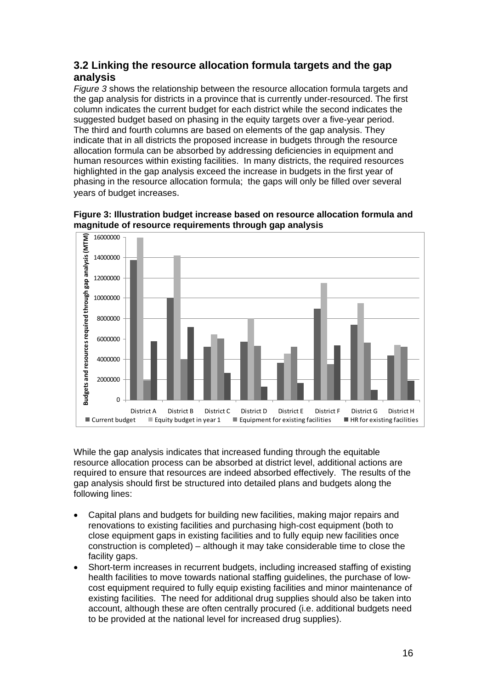## **3.2 Linking the resource allocation formula targets and the gap analysis**

*Figure 3* shows the relationship between the resource allocation formula targets and the gap analysis for districts in a province that is currently under-resourced. The first column indicates the current budget for each district while the second indicates the suggested budget based on phasing in the equity targets over a five-year period. The third and fourth columns are based on elements of the gap analysis. They indicate that in all districts the proposed increase in budgets through the resource allocation formula can be absorbed by addressing deficiencies in equipment and human resources within existing facilities. In many districts, the required resources highlighted in the gap analysis exceed the increase in budgets in the first year of phasing in the resource allocation formula; the gaps will only be filled over several years of budget increases.



**Figure 3: Illustration budget increase based on resource allocation formula and magnitude of resource requirements through gap analysis** 

While the gap analysis indicates that increased funding through the equitable resource allocation process can be absorbed at district level, additional actions are required to ensure that resources are indeed absorbed effectively. The results of the gap analysis should first be structured into detailed plans and budgets along the following lines:

- Capital plans and budgets for building new facilities, making major repairs and renovations to existing facilities and purchasing high-cost equipment (both to close equipment gaps in existing facilities and to fully equip new facilities once construction is completed) – although it may take considerable time to close the facility gaps.
- Short-term increases in recurrent budgets, including increased staffing of existing health facilities to move towards national staffing guidelines, the purchase of lowcost equipment required to fully equip existing facilities and minor maintenance of existing facilities. The need for additional drug supplies should also be taken into account, although these are often centrally procured (i.e. additional budgets need to be provided at the national level for increased drug supplies).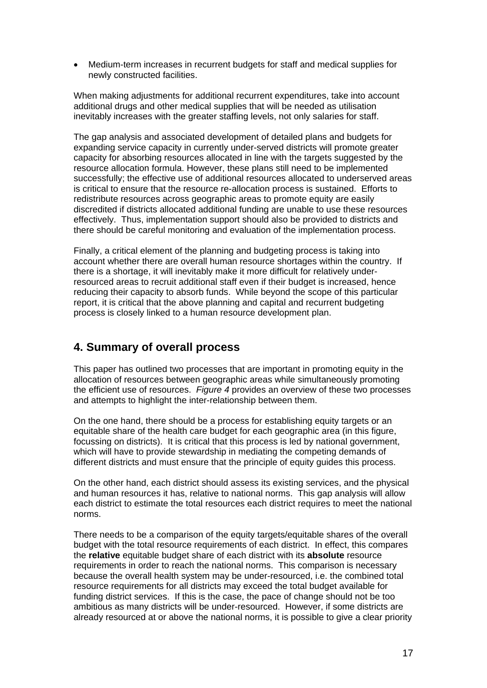Medium-term increases in recurrent budgets for staff and medical supplies for newly constructed facilities.

When making adjustments for additional recurrent expenditures, take into account additional drugs and other medical supplies that will be needed as utilisation inevitably increases with the greater staffing levels, not only salaries for staff.

The gap analysis and associated development of detailed plans and budgets for expanding service capacity in currently under-served districts will promote greater capacity for absorbing resources allocated in line with the targets suggested by the resource allocation formula. However, these plans still need to be implemented successfully; the effective use of additional resources allocated to underserved areas is critical to ensure that the resource re-allocation process is sustained. Efforts to redistribute resources across geographic areas to promote equity are easily discredited if districts allocated additional funding are unable to use these resources effectively. Thus, implementation support should also be provided to districts and there should be careful monitoring and evaluation of the implementation process.

Finally, a critical element of the planning and budgeting process is taking into account whether there are overall human resource shortages within the country. If there is a shortage, it will inevitably make it more difficult for relatively underresourced areas to recruit additional staff even if their budget is increased, hence reducing their capacity to absorb funds. While beyond the scope of this particular report, it is critical that the above planning and capital and recurrent budgeting process is closely linked to a human resource development plan.

# **4. Summary of overall process**

This paper has outlined two processes that are important in promoting equity in the allocation of resources between geographic areas while simultaneously promoting the efficient use of resources. *Figure 4* provides an overview of these two processes and attempts to highlight the inter-relationship between them.

On the one hand, there should be a process for establishing equity targets or an equitable share of the health care budget for each geographic area (in this figure, focussing on districts). It is critical that this process is led by national government, which will have to provide stewardship in mediating the competing demands of different districts and must ensure that the principle of equity guides this process.

On the other hand, each district should assess its existing services, and the physical and human resources it has, relative to national norms. This gap analysis will allow each district to estimate the total resources each district requires to meet the national norms.

There needs to be a comparison of the equity targets/equitable shares of the overall budget with the total resource requirements of each district. In effect, this compares the **relative** equitable budget share of each district with its **absolute** resource requirements in order to reach the national norms. This comparison is necessary because the overall health system may be under-resourced, i.e. the combined total resource requirements for all districts may exceed the total budget available for funding district services. If this is the case, the pace of change should not be too ambitious as many districts will be under-resourced. However, if some districts are already resourced at or above the national norms, it is possible to give a clear priority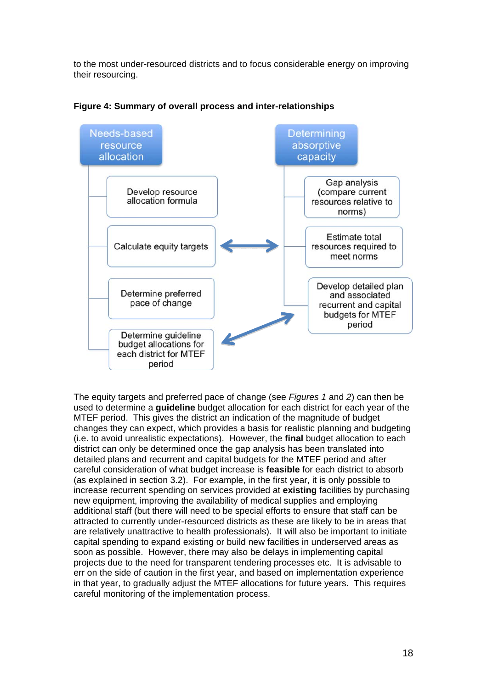to the most under-resourced districts and to focus considerable energy on improving their resourcing.



**Figure 4: Summary of overall process and inter-relationships** 

The equity targets and preferred pace of change (see *Figures 1* and *2*) can then be used to determine a **guideline** budget allocation for each district for each year of the MTEF period. This gives the district an indication of the magnitude of budget changes they can expect, which provides a basis for realistic planning and budgeting (i.e. to avoid unrealistic expectations). However, the **final** budget allocation to each district can only be determined once the gap analysis has been translated into detailed plans and recurrent and capital budgets for the MTEF period and after careful consideration of what budget increase is **feasible** for each district to absorb (as explained in section 3.2). For example, in the first year, it is only possible to increase recurrent spending on services provided at **existing** facilities by purchasing new equipment, improving the availability of medical supplies and employing additional staff (but there will need to be special efforts to ensure that staff can be attracted to currently under-resourced districts as these are likely to be in areas that are relatively unattractive to health professionals). It will also be important to initiate capital spending to expand existing or build new facilities in underserved areas as soon as possible. However, there may also be delays in implementing capital projects due to the need for transparent tendering processes etc. It is advisable to err on the side of caution in the first year, and based on implementation experience in that year, to gradually adjust the MTEF allocations for future years. This requires careful monitoring of the implementation process.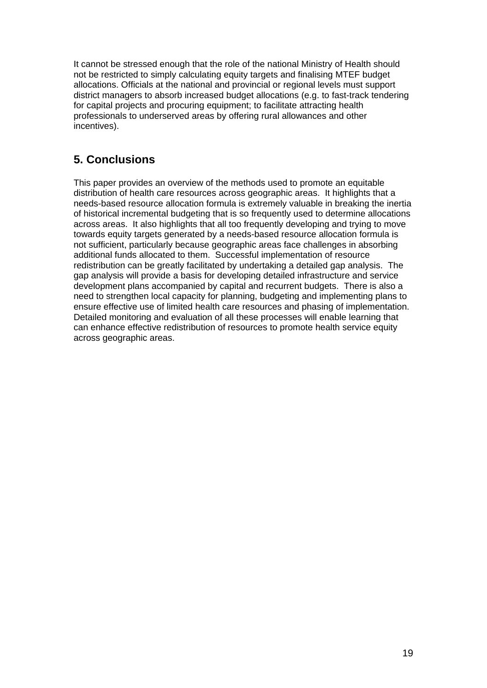It cannot be stressed enough that the role of the national Ministry of Health should not be restricted to simply calculating equity targets and finalising MTEF budget allocations. Officials at the national and provincial or regional levels must support district managers to absorb increased budget allocations (e.g. to fast-track tendering for capital projects and procuring equipment; to facilitate attracting health professionals to underserved areas by offering rural allowances and other incentives).

# **5. Conclusions**

This paper provides an overview of the methods used to promote an equitable distribution of health care resources across geographic areas. It highlights that a needs-based resource allocation formula is extremely valuable in breaking the inertia of historical incremental budgeting that is so frequently used to determine allocations across areas. It also highlights that all too frequently developing and trying to move towards equity targets generated by a needs-based resource allocation formula is not sufficient, particularly because geographic areas face challenges in absorbing additional funds allocated to them. Successful implementation of resource redistribution can be greatly facilitated by undertaking a detailed gap analysis. The gap analysis will provide a basis for developing detailed infrastructure and service development plans accompanied by capital and recurrent budgets. There is also a need to strengthen local capacity for planning, budgeting and implementing plans to ensure effective use of limited health care resources and phasing of implementation. Detailed monitoring and evaluation of all these processes will enable learning that can enhance effective redistribution of resources to promote health service equity across geographic areas.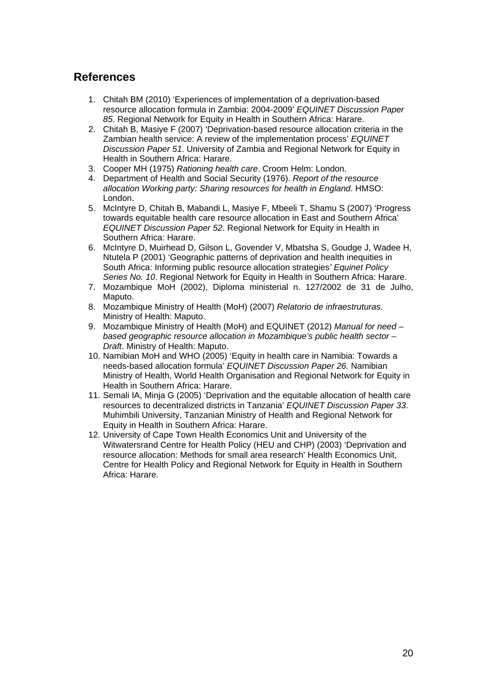# **References**

- 1. Chitah BM (2010) 'Experiences of implementation of a deprivation-based resource allocation formula in Zambia: 2004-2009' *EQUINET Discussion Paper 85*. Regional Network for Equity in Health in Southern Africa: Harare.
- 2. Chitah B, Masiye F (2007) 'Deprivation-based resource allocation criteria in the Zambian health service: A review of the implementation process' *EQUINET Discussion Paper 51*. University of Zambia and Regional Network for Equity in Health in Southern Africa: Harare.
- 3. Cooper MH (1975) *Rationing health care*. Croom Helm: London.
- 4. Department of Health and Social Security (1976). *Report of the resource allocation Working party: Sharing resources for health in England*. HMSO: London.
- 5. McIntyre D, Chitah B, Mabandi L, Masiye F, Mbeeli T, Shamu S (2007) 'Progress towards equitable health care resource allocation in East and Southern Africa' *EQUINET Discussion Paper 52*. Regional Network for Equity in Health in Southern Africa: Harare.
- 6. McIntyre D, Muirhead D, Gilson L, Govender V, Mbatsha S, Goudge J, Wadee H, Ntutela P (2001) 'Geographic patterns of deprivation and health inequities in South Africa: Informing public resource allocation strategies*' Equinet Policy Series No. 10*. Regional Network for Equity in Health in Southern Africa: Harare.
- 7. Mozambique MoH (2002), Diploma ministerial n. 127/2002 de 31 de Julho, Maputo.
- 8. Mozambique Ministry of Health (MoH) (2007) *Relatorio de infraestruturas*. Ministry of Health: Maputo.
- 9. Mozambique Ministry of Health (MoH) and EQUINET (2012) *Manual for need based geographic resource allocation in Mozambique's public health sector – Draft*. Ministry of Health: Maputo.
- 10. Namibian MoH and WHO (2005) 'Equity in health care in Namibia: Towards a needs-based allocation formula' *EQUINET Discussion Paper 26.* Namibian Ministry of Health, World Health Organisation and Regional Network for Equity in Health in Southern Africa: Harare.
- 11. Semali IA, Minja G (2005) 'Deprivation and the equitable allocation of health care resources to decentralized districts in Tanzania' *EQUINET Discussion Paper 33*. Muhimbili University, Tanzanian Ministry of Health and Regional Network for Equity in Health in Southern Africa: Harare.
- 12. University of Cape Town Health Economics Unit and University of the Witwatersrand Centre for Health Policy (HEU and CHP) (2003) 'Deprivation and resource allocation: Methods for small area research' Health Economics Unit, Centre for Health Policy and Regional Network for Equity in Health in Southern Africa: Harare.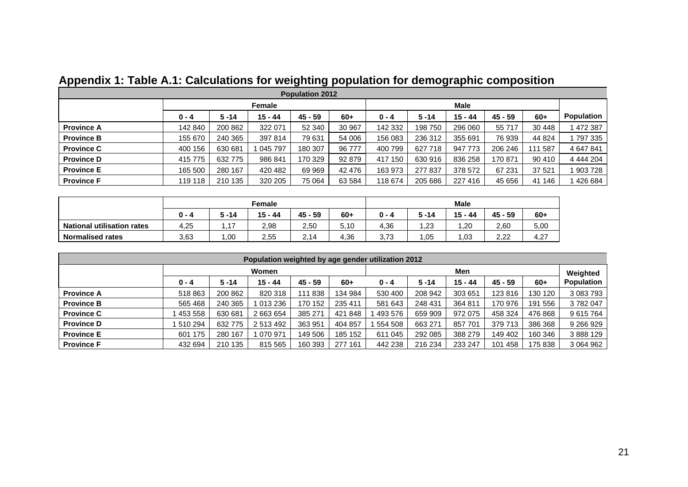| <b>Population 2012</b> |         |          |           |           |        |         |          |           |         |         |                   |  |
|------------------------|---------|----------|-----------|-----------|--------|---------|----------|-----------|---------|---------|-------------------|--|
|                        |         |          | Female    |           |        |         |          |           |         |         |                   |  |
|                        | $0 - 4$ | $5 - 14$ | $15 - 44$ | $45 - 59$ | $60+$  | $0 - 4$ | $5 - 14$ | $15 - 44$ | 45 - 59 | $60+$   | <b>Population</b> |  |
| <b>Province A</b>      | 142 840 | 200 862  | 322 071   | 52 340    | 30 967 | 142 332 | 198 750  | 296 060   | 55 717  | 30 448  | 472 387           |  |
| <b>Province B</b>      | 155 670 | 240 365  | 397 814   | 79 631    | 54 006 | 156 083 | 236 312  | 355 691   | 76 939  | 44 824  | 797 335           |  |
| <b>Province C</b>      | 400 156 | 630 681  | 045 797   | 180 307   | 96 777 | 400 799 | 627 718  | 947 773   | 206 246 | 111 587 | 4 647 841         |  |
| <b>Province D</b>      | 415 775 | 632 775  | 986 841   | 170 329   | 92 879 | 417 150 | 630 916  | 836 258   | 170 871 | 90 410  | 4 444 204         |  |
| <b>Province E</b>      | 165 500 | 280 167  | 420 482   | 69 969    | 42 476 | 163 973 | 277 837  | 378 572   | 67 231  | 37 521  | 903 728           |  |
| <b>Province F</b>      | 119 118 | 210 135  | 320 205   | 75 064    | 63 584 | 118 674 | 205 686  | 227 416   | 45 656  | 41 146  | 426 684           |  |

# **Appendix 1: Table A.1: Calculations for weighting population for demographic composition**

|                            |         | <b>Male</b>   |           |            |       |         |                  |           |             |       |
|----------------------------|---------|---------------|-----------|------------|-------|---------|------------------|-----------|-------------|-------|
|                            | $0 - 4$ | $5 - 14$      | $15 - 44$ | - 59<br>45 | $60+$ | $0 - 4$ | $5 - 14$         | $15 - 44$ | $45 - 59$   | $60+$ |
| National utilisation rates | 4,25    | $\rightarrow$ | 2,98      | 2,50       | 5,10  | 4,36    | $\overline{.23}$ | .20       | 2.60        | 5,00  |
| Normalised rates           | 3,63    | .00           | 2,55      | 2.14       | 4,36  | 3.73    | 1.05             | 03. ا     | າ າາ<br>LLL | 4.27  |

| Population weighted by age gender utilization 2012 |         |          |           |           |            |         |          |           |           |         |                               |
|----------------------------------------------------|---------|----------|-----------|-----------|------------|---------|----------|-----------|-----------|---------|-------------------------------|
|                                                    | Women   |          |           |           |            |         | Men      |           |           |         |                               |
|                                                    | $0 - 4$ | $5 - 14$ | 15 - 44   | $45 - 59$ | $60+$      | $0 - 4$ | $5 - 14$ | $15 - 44$ | $45 - 59$ | $60+$   | Weighted<br><b>Population</b> |
| <b>Province A</b>                                  | 518 863 | 200 862  | 820 318   | 111 838   | 134 984    | 530 400 | 208 942  | 303 651   | 123816    | 130 120 | 3 083 793                     |
| <b>Province B</b>                                  | 565 468 | 240 365  | 1 013 236 | 170 152   | 235 411    | 581 643 | 248 431  | 364 811   | 170 976   | 191 556 | 3782047                       |
| <b>Province C</b>                                  | 453 558 | 630 681  | 2 663 654 | 385 271   | 848<br>421 | 493 576 | 659 909  | 972 075   | 458 324   | 476 868 | 9 615 764                     |
| <b>Province D</b>                                  | 510 294 | 632 775  | 2 513 492 | 363 951   | 404 857    | 554 508 | 663 271  | 857 701   | 379 713   | 386 368 | 9 266 9 29                    |
| <b>Province E</b>                                  | 601 175 | 280 167  | 070 971   | 149 506   | 185 152    | 611 045 | 292 085  | 388 279   | 149 402   | 160 346 | 3 888 129                     |
| <b>Province F</b>                                  | 432 694 | 210 135  | 815 565   | 160 393   | 277 161    | 442 238 | 216 234  | 233 247   | 101 458   | 175 838 | 3 064 962                     |